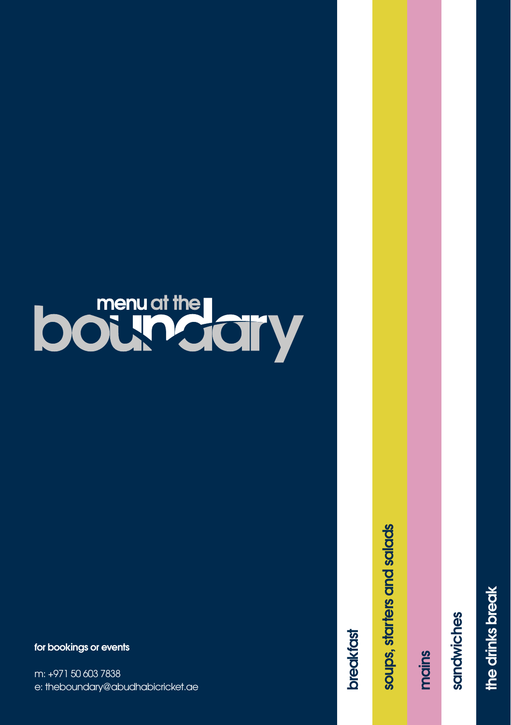# **bound the lary**

**for bookings or events**

m: +971 50 603 7838 e: theboundary@abudhabicricket.ae

**breakfast**

breaktast

soups, starters and salads **soups, starters and salads**

**mains**

sandwiches **sandwiches**

the drinks break **the drinks break**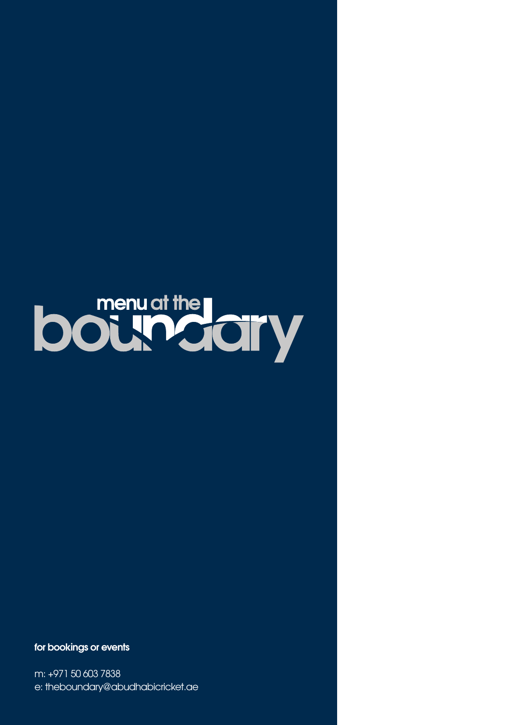

**for bookings or events**

m: +971 50 603 7838 e: theboundary@abudhabicricket.ae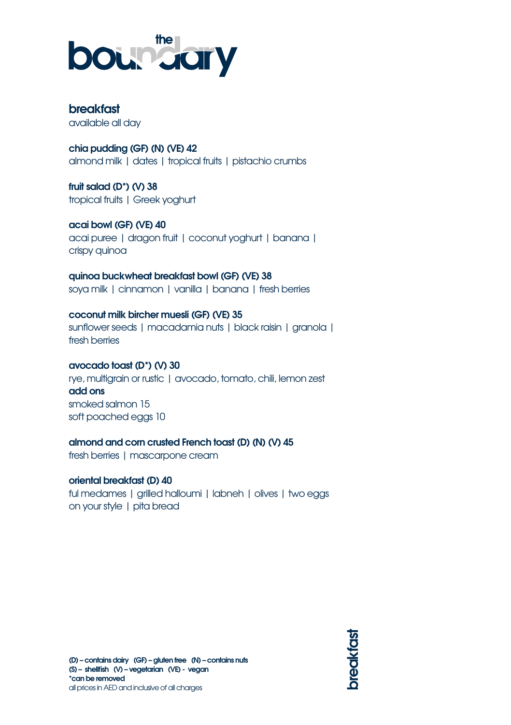

# **breakfast**

available all day

**chia pudding (GF) (N) (VE) 42** almond milk | dates | tropical fruits | pistachio crumbs

**fruit salad (D\*) (V) 38** tropical fruits | Greek yoghurt

**acai bowl (GF) (VE) 40**  acai puree | dragon fruit | coconut yoghurt | banana | crispy quinoa

**quinoa buckwheat breakfast bowl (GF) (VE) 38** soya milk | cinnamon | vanilla | banana | fresh berries

**coconut milk bircher muesli (GF) (VE) 35** sunflower seeds | macadamia nuts | black raisin | granola | fresh berries

## **avocado toast (D\*) (V) 30**

rye, multigrain or rustic | avocado, tomato, chili, lemon zest **add ons** smoked salmon 15 soft poached eggs 10

**almond and corn crusted French toast (D) (N) (V) 45**

fresh berries | mascarpone cream

**oriental breakfast (D) 40** ful medames | grilled halloumi | labneh | olives | two eggs on your style | pita bread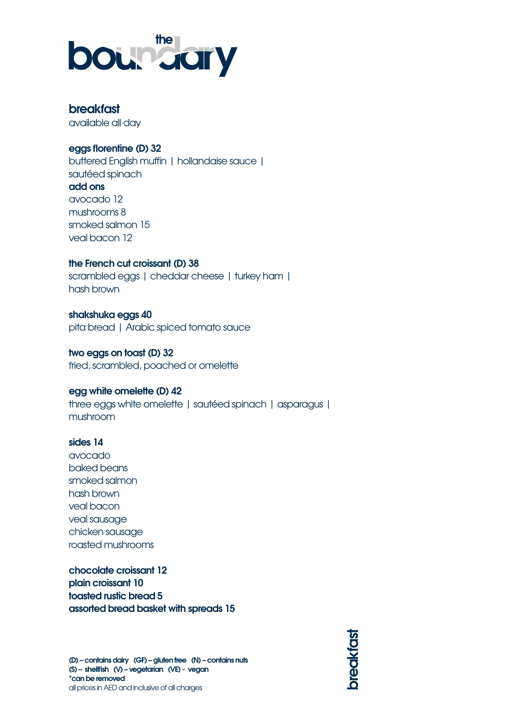

# **breakfast**

available all day

#### **eggs florentine (D) 32**

buttered English muffin | hollandaise sauce | sautéed spinach **add ons** avocado 12 mushrooms 8 smoked salmon 15 veal bacon 12

**the French cut croissant (D) 38**

scrambled eggs | cheddar cheese | turkey ham | hash brown

**shakshuka eggs 40** pita bread | Arabic spiced tomato sauce

**two eggs on toast (D) 32** fried, scrambled, poached or omelette

#### **egg white omelette (D) 42**

three eggs white omelette | sautéed spinach | asparagus | mushroom

#### **sides 14**

avocado baked beans smoked salmon hash brown veal bacon veal sausage chicken sausage roasted mushrooms

**chocolate croissant 12 plain croissant 10 toasted rustic bread 5 assorted bread basket with spreads 15**

preaktast **breakfast**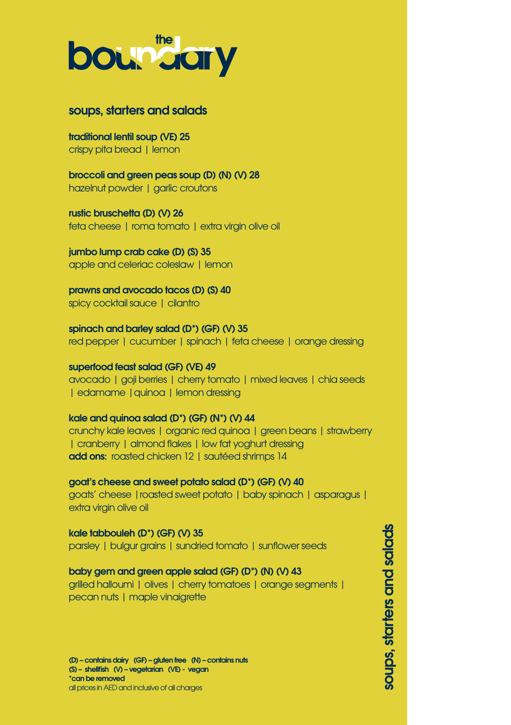

### **soups, starters and salads**

**traditional lentil soup (VE) 25** crispy pita bread | lemon

**broccoli and green peas soup (D) (N) (V) 28** hazelnut powder | garlic croutons

**rustic bruschetta (D) (V) 26** feta cheese | roma tomato | extra virgin olive oil

**jumbo lump crab cake (D) (S) 35** apple and celeriac coleslaw | lemon

**prawns and avocado tacos (D) (S) 40** spicy cocktail sauce | cilantro

**spinach and barley salad (D\*) (GF) (V) 35** red pepper | cucumber | spinach | feta cheese | orange dressing

**superfood feast salad (GF) (VE) 49** avocado | goji berries | cherry tomato | mixed leaves | chia seeds | edamame | quinoa | lemon dressing

#### **kale and quinoa salad (D\*) (GF) (N\*) (V) 44**

crunchy kale leaves | organic red quinoa | green beans | strawberry | cranberry | almond flakes | low fat yoghurt dressing **add ons:** roasted chicken 12 | sautéed shrimps 14

**goat's cheese and sweet potato salad (D\*) (GF) (V) 40** goats' cheese |roasted sweet potato | baby spinach | asparagus | extra virgin olive oil

**kale tabbouleh (D\*) (GF) (V) 35** parsley | bulgur grains | sundried tomato | sunflower seeds

#### **baby gem and green apple salad (GF) (D\*) (N) (V) 43**

grilled halloumi | olives | cherry tomatoes | orange segments | pecan nuts | maple vinaigrette

**(D) – contains dairy (GF) – gluten free (N) – contains nuts (S) – shellfish (V) – vegetarian (VE) - vegan \*can be removed** all prices in AED and inclusive of all charges

soups, starters and salads **soups, starters and salads**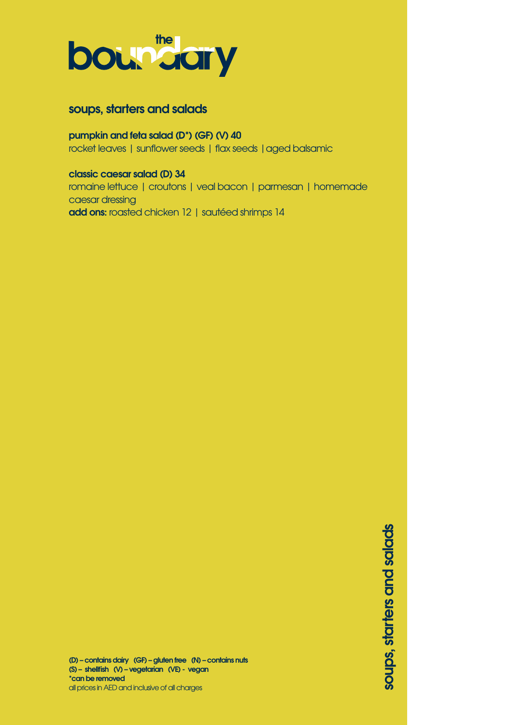

# **soups, starters and salads**

## **pumpkin and feta salad (D\*) (GF) (V) 40**

rocket leaves | sunflower seeds | flax seeds | aged balsamic

#### **classic caesar salad (D) 34**

romaine lettuce | croutons | veal bacon | parmesan | homemade caesar dressing **add ons:** roasted chicken 12 | sautéed shrimps 14

> soups, starters and salads **soups, starters and salads**

**(D) – contains dairy (GF) – gluten free (N) – contains nuts (S) – shellfish (V) – vegetarian (VE) - vegan \*can be removed** all prices in AED and inclusive of all charges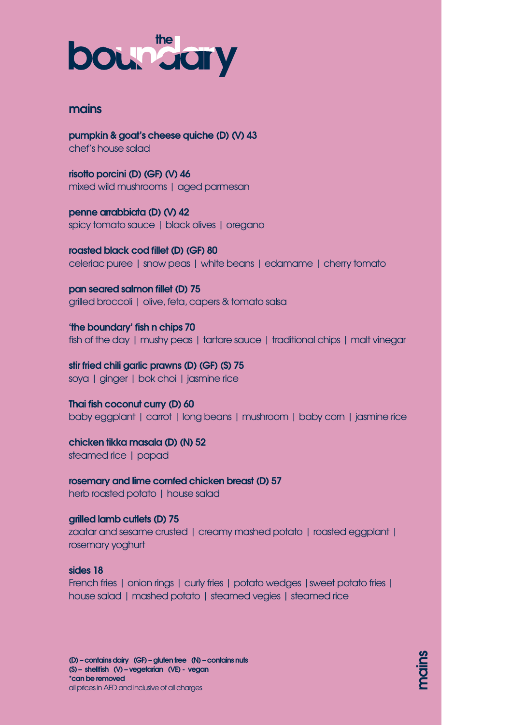# **boundary**

## **mains**

**pumpkin & goat's cheese quiche (D) (V) 43** chef's house salad

**risotto porcini (D) (GF) (V) 46** mixed wild mushrooms | aged parmesan

**penne arrabbiata (D) (V) 42** spicy tomato sauce | black olives | oregano

**roasted black cod fillet (D) (GF) 80** celeriac puree | snow peas | white beans | edamame | cherry tomato

**pan seared salmon fillet (D) 75** grilled broccoli | olive, feta, capers & tomato salsa

**'the boundary' fish n chips 70** fish of the day | mushy peas | tartare sauce | traditional chips | malt vinegar

**stir fried chili garlic prawns (D) (GF) (S) 75** soya | ginger | bok choi | jasmine rice

**Thai fish coconut curry (D) 60** baby eggplant | carrot | long beans | mushroom | baby corn | jasmine rice

**chicken tikka masala (D) (N) 52** steamed rice | papad

**rosemary and lime cornfed chicken breast (D) 57** herb roasted potato | house salad

**grilled lamb cutlets (D) 75** zaatar and sesame crusted | creamy mashed potato | roasted eggplant | rosemary yoghurt

#### **sides 18**

French fries I onion rings I curly fries I potato wedges I sweet potato fries I house salad | mashed potato | steamed vegies | steamed rice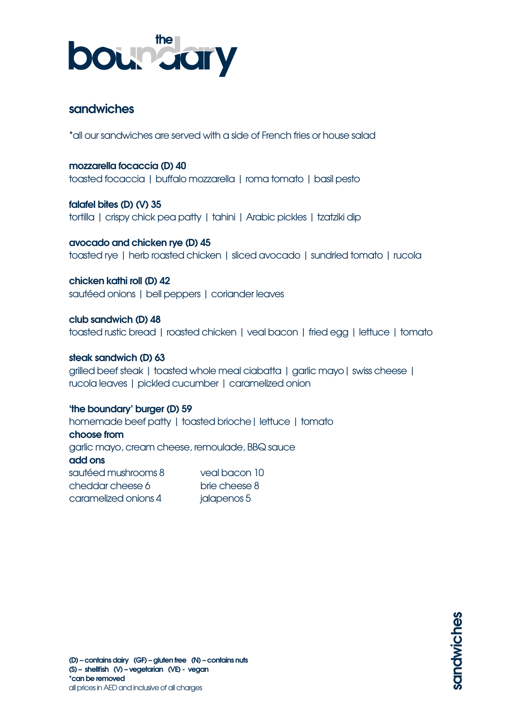

# **sandwiches**

\*all our sandwiches are served with a side of French fries or house salad

**mozzarella focaccia (D) 40**  toasted focaccia | buffalo mozzarella | roma tomato | basil pesto

**falafel bites (D) (V) 35** tortilla | crispy chick pea patty | tahini | Arabic pickles | tzatziki dip

**avocado and chicken rye (D) 45** toasted rye | herb roasted chicken | sliced avocado | sundried tomato | rucola

**chicken kathi roll (D) 42** sautéed onions | bell peppers | coriander leaves

**club sandwich (D) 48** toasted rustic bread | roasted chicken | veal bacon | fried egg | lettuce | tomato

#### **steak sandwich (D) 63** grilled beef steak | toasted whole meal ciabatta | garlic mayo| swiss cheese | rucola leaves | pickled cucumber | caramelized onion

#### **'the boundary' burger (D) 59**

homemade beef patty | toasted brioche | lettuce | tomato **choose from** garlic mayo, cream cheese, remoulade, BBQ sauce **add ons** sautéed mushrooms 8 veal bacon 10 cheddar cheese 6 brie cheese 8 caramelized onions 4 jalapenos 5